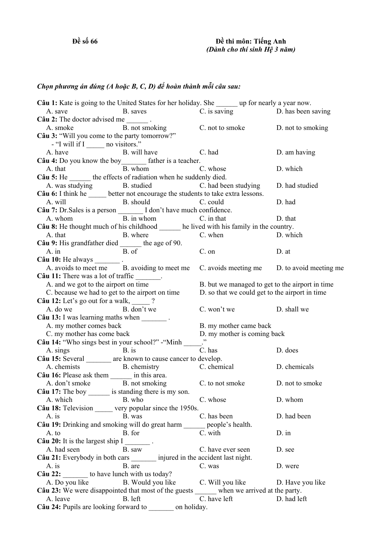## *Chọn phương án đúng (A hoặc B, C, D) để hoàn thành mỗi câu sau:*

| Câu 1: Kate is going to the United States for her holiday. She _______ up for nearly a year now.                                     |                                                 |                  |
|--------------------------------------------------------------------------------------------------------------------------------------|-------------------------------------------------|------------------|
| B. saves C. is saving D. has been saving<br>A. save                                                                                  |                                                 |                  |
| Câu 2: The doctor advised me $\frac{ }{ }$ .                                                                                         |                                                 |                  |
| A. smoke B. not smoking C. not to smoke D. not to smoking                                                                            |                                                 |                  |
| Câu 3: "Will you come to the party tomorrow?"                                                                                        |                                                 |                  |
| - "I will if I no visitors."                                                                                                         |                                                 |                  |
| B. will have C. had<br>A. have                                                                                                       |                                                 | D. am having     |
| Câu 4: Do you know the boy_________ father is a teacher.                                                                             |                                                 |                  |
|                                                                                                                                      |                                                 | D. which         |
| A. that B. whom C. whose<br>Câu 5: He _______ the effects of radiation when he suddenly died.                                        |                                                 |                  |
|                                                                                                                                      |                                                 | D. had studied   |
| A. was studying B. studied C. had been studying<br>Câu 6: I think he ______ better not encourage the students to take extra lessons. |                                                 |                  |
| A. will B. should C. could                                                                                                           |                                                 | D. had           |
| Câu 7: Dr. Sales is a person __________ I don't have much confidence.                                                                |                                                 |                  |
| A. whom B. in whom C. in that                                                                                                        |                                                 | D. that          |
| Câu 8: He thought much of his childhood ______ he lived with his family in the country.                                              |                                                 |                  |
| A. that B. where                                                                                                                     | C. when                                         | D. which         |
|                                                                                                                                      |                                                 |                  |
| <b>Câu 9:</b> His grandfather died $\frac{B}{B \cdot 0}$ the age of 90.                                                              | $C.$ on                                         | D. at            |
| Câu 10: He always $\frac{ }{ }$ .                                                                                                    |                                                 |                  |
| A. avoids to meet me B. avoiding to meet me                                                                                          | C. avoids meeting me D. to avoid meeting me     |                  |
| Câu 11: There was a lot of traffic _______.                                                                                          |                                                 |                  |
| A. and we got to the airport on time                                                                                                 | B. but we managed to get to the airport in time |                  |
| C. because we had to get to the airport on time                                                                                      | D. so that we could get to the airport in time  |                  |
| Câu 12: Let's go out for a walk, $\frac{1}{2}$ ?                                                                                     |                                                 |                  |
| A. do we B. don't we                                                                                                                 | C. won't we D. shall we                         |                  |
| Câu 13: I was learning maths when ________.                                                                                          |                                                 |                  |
| A. my mother comes back                                                                                                              | B. my mother came back                          |                  |
| C. my mother has come back                                                                                                           | D. my mother is coming back                     |                  |
| Câu 14: "Who sings best in your school?" - "Minh _____."                                                                             |                                                 |                  |
| $\mathbf{B}$ . is<br>A. sings                                                                                                        | C. has                                          | D. does          |
| Câu 15: Several ________ are known to cause cancer to develop.                                                                       |                                                 |                  |
| A. chemists B. chemistry C. chemical                                                                                                 |                                                 | D. chemicals     |
| Câu 16: Please ask them _______ in this area.                                                                                        |                                                 |                  |
| A. don't smoke<br>B. not smoking<br>C. to not smoke<br>D. not to smoke<br>C. au 17: The boy<br>is standing there is my son.          |                                                 |                  |
|                                                                                                                                      |                                                 |                  |
| A. which<br>B. who                                                                                                                   | C. whose                                        | D. whom          |
| Câu 18: Television ______ very popular since the 1950s.                                                                              |                                                 |                  |
| B. was<br>A. is                                                                                                                      | C. has been                                     | D. had been      |
| Câu 19: Drinking and smoking will do great harm ______ people's health.                                                              |                                                 |                  |
| A. to<br>B. for                                                                                                                      | C. with                                         | D. in            |
| Câu 20: It is the largest ship $I$ ________.                                                                                         |                                                 |                  |
| A. had seen<br>B. saw                                                                                                                | C. have ever seen                               | D. see           |
| Câu 21: Everybody in both cars ________ injured in the accident last night.                                                          |                                                 |                  |
| A. is<br>B. are                                                                                                                      | C. was                                          | D. were          |
| Câu 22: to have lunch with us today?                                                                                                 |                                                 |                  |
| A. Do you like B. Would you like                                                                                                     | C. Will you like                                | D. Have you like |
| Câu 23: We were disappointed that most of the guests ______ when we arrived at the party.                                            |                                                 |                  |
| A. leave<br>B. left                                                                                                                  | C. have left                                    | D. had left      |
| Câu 24: Pupils are looking forward to on holiday.                                                                                    |                                                 |                  |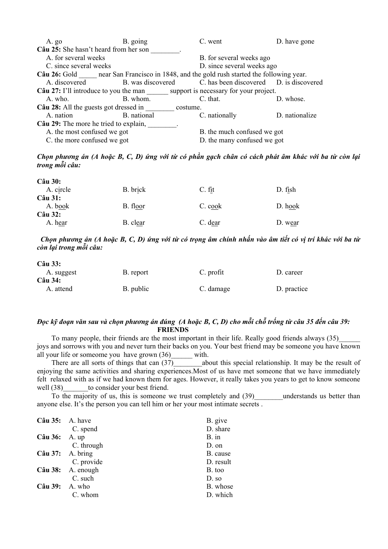| $A. g_0$                                                                                      | B. going                                             | C. went                                                   | D. have gone   |
|-----------------------------------------------------------------------------------------------|------------------------------------------------------|-----------------------------------------------------------|----------------|
| Câu 25: She hasn't heard from her son                                                         |                                                      |                                                           |                |
| A. for several weeks                                                                          |                                                      | B. for several weeks ago                                  |                |
|                                                                                               | D. since several weeks ago<br>C. since several weeks |                                                           |                |
| <b>Câu 26:</b> Gold near San Francisco in 1848, and the gold rush started the following year. |                                                      |                                                           |                |
| A. discovered                                                                                 |                                                      | B. was discovered C. has been discovered D. is discovered |                |
| <b>Câu 27:</b> I'll introduce to you the man support is necessary for your project.           |                                                      |                                                           |                |
| A. who.                                                                                       | B. whom.                                             | C. that.                                                  | D. whose.      |
| Câu 28: All the guests got dressed in<br>costume.                                             |                                                      |                                                           |                |
| A. nation                                                                                     | B. national                                          | C. nationally                                             | D. nationalize |
| Câu 29: The more he tried to explain,                                                         |                                                      |                                                           |                |
| A. the most confused we got                                                                   |                                                      | B. the much confused we got                               |                |
| C. the more confused we got                                                                   |                                                      | D. the many confused we got                               |                |

Chọn phương án (A hoặc B, C, D) ứng với từ có phần gạch chân có cách phát âm khác với ba từ còn lại *trong mỗi câu:* 

| B. brick | C. fit  | D. fish   |
|----------|---------|-----------|
|          |         |           |
| B. floor | C. cook | $D.$ hook |
|          |         |           |
| B. clear | C. dear | D. wear   |
|          |         |           |

Chon phương án (A hoặc B, C, D) ứng với từ có trong âm chính nhấn vào âm tiết có vi trí khác với ba từ *còn lại trong mỗi câu:* 

| Câu 33:          |           |           |             |
|------------------|-----------|-----------|-------------|
| A. suggest       | B. report | C. profit | D. career   |
| $C\hat{a}$ u 34: |           |           |             |
| A. attend        | B. public | C. damage | D. practice |

## Đọc kỹ đoạn văn sau và chọn phương án đúng (A hoặc B, C, D) cho mỗi chỗ trống từ câu 35 đến câu 39:  **FRIENDS**

To many people, their friends are the most important in their life. Really good friends always (35)\_\_\_\_\_\_ joys and sorrows with you and never turn their backs on you. Your best friend may be someone you have known all your life or someome you have grown  $(36)$  with.

There are all sorts of things that can  $(37)$  about this special relationship. It may be the result of enjoying the same activities and sharing experiences.Most of us have met someone that we have immediately felt relaxed with as if we had known them for ages. However, it really takes you years to get to know someone well (38) to consider your best friend.

To the majority of us, this is someone we trust completely and (39) understands us better than anyone else. It's the person you can tell him or her your most intimate secrets .

| $C\hat{a}u$ 35: A. have |                          | B. give   |
|-------------------------|--------------------------|-----------|
|                         | C. spend                 | D. share  |
| $C$ âu 36: A. up        |                          | $B.$ in   |
|                         | C. through               | $D.$ on   |
|                         | $C\hat{a}u$ 37: A. bring | B. cause  |
|                         | C. provide               | D. result |
|                         | Câu 38: A. enough        | B. too    |
|                         | C. such                  | D. so     |
| $C\hat{a}u$ 39: A. who  |                          | B. whose  |
|                         | C. whom                  | D. which  |